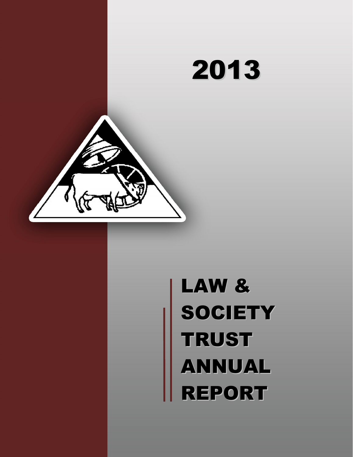# 2013

# LAW & **SOCIETY TRUST** ANNUAL REPORT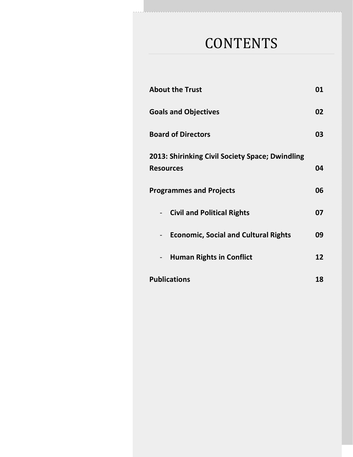# **CONTENTS**

| <b>About the Trust</b>                                              | 01 |
|---------------------------------------------------------------------|----|
| <b>Goals and Objectives</b>                                         | 02 |
| <b>Board of Directors</b>                                           | 03 |
| 2013: Shirinking Civil Society Space; Dwindling<br><b>Resources</b> | 04 |
| <b>Programmes and Projects</b>                                      | 06 |
| - Civil and Political Rights                                        | 07 |
| <b>Economic, Social and Cultural Rights</b>                         | 09 |
| <b>Human Rights in Conflict</b>                                     | 12 |
| <b>Publications</b>                                                 | 18 |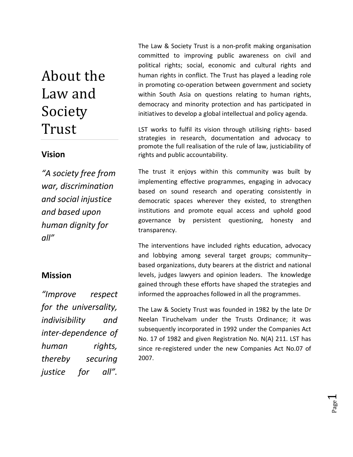# About the Law and Society Trust

#### **Vision**

*"A society free from war, discrimination and social injustice and based upon human dignity for all"*

## **Mission**

*"Improve respect for the universality, indivisibility and inter-dependence of human rights, thereby securing justice for all".* 

The Law & Society Trust is a non-profit making organisation committed to improving public awareness on civil and political rights; social, economic and cultural rights and human rights in conflict. The Trust has played a leading role in promoting co-operation between government and society within South Asia on questions relating to human rights, democracy and minority protection and has participated in initiatives to develop a global intellectual and policy agenda.

LST works to fulfil its vision through utilising rights- based strategies in research, documentation and advocacy to promote the full realisation of the rule of law, justiciability of rights and public accountability.

The trust it enjoys within this community was built by implementing effective programmes, engaging in advocacy based on sound research and operating consistently in democratic spaces wherever they existed, to strengthen institutions and promote equal access and uphold good governance by persistent questioning, honesty and transparency.

The interventions have included rights education, advocacy and lobbying among several target groups; community– based organizations, duty bearers at the district and national levels, judges lawyers and opinion leaders. The knowledge gained through these efforts have shaped the strategies and informed the approaches followed in all the programmes.

The Law & Society Trust was founded in 1982 by the late Dr Neelan Tiruchelvam under the Trusts Ordinance; it was subsequently incorporated in 1992 under the Companies Act No. 17 of 1982 and given Registration No. N(A) 211. LST has since re-registered under the new Companies Act No.07 of 2007.

> Page  $\overline{\phantom{0}}$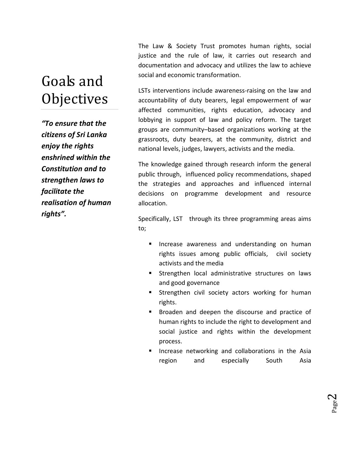# Goals and **Objectives**

*"To ensure that the citizens of Sri Lanka enjoy the rights enshrined within the Constitution and to strengthen laws to facilitate the realisation of human rights".*

The Law & Society Trust promotes human rights, social justice and the rule of law, it carries out research and documentation and advocacy and utilizes the law to achieve social and economic transformation.

LSTs interventions include awareness-raising on the law and accountability of duty bearers, legal empowerment of war affected communities, rights education, advocacy and lobbying in support of law and policy reform. The target groups are community–based organizations working at the grassroots, duty bearers, at the community, district and national levels, judges, lawyers, activists and the media.

The knowledge gained through research inform the general public through, influenced policy recommendations, shaped the strategies and approaches and influenced internal decisions on programme development and resource allocation.

Specifically, LST through its three programming areas aims to;

- **E** Increase awareness and understanding on human rights issues among public officials, civil society activists and the media
- **EXTENGING Strengthen local administrative structures on laws** and good governance
- Strengthen civil society actors working for human rights.
- **Broaden and deepen the discourse and practice of** human rights to include the right to development and social justice and rights within the development process.
- ß Increase networking and collaborations in the Asia region and especially South Asia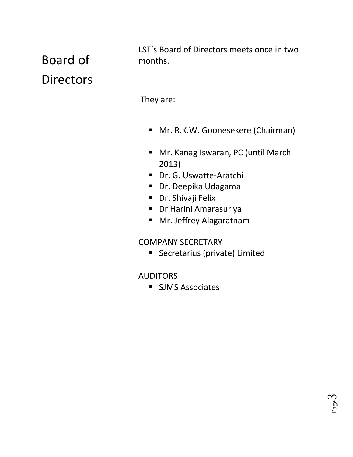# Board of **Directors**

LST's Board of Directors meets once in two months.

They are:

- **Mr. R.K.W. Goonesekere (Chairman)**
- Mr. Kanag Iswaran, PC (until March 2013)
- Dr. G. Uswatte-Aratchi
- **Dr. Deepika Udagama**
- **•** Dr. Shivaji Felix
- **•** Dr Harini Amarasuriya
- **Mr. Jeffrey Alagaratnam**

## COMPANY SECRETARY

**Secretarius (private) Limited** 

## AUDITORS

**SJMS Associates**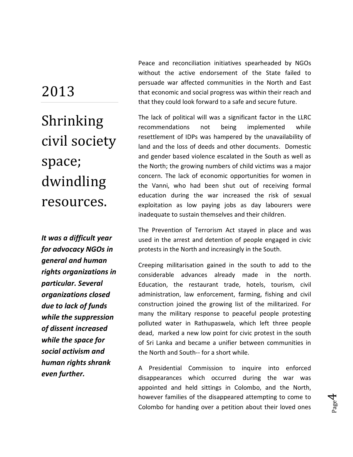# 2013

Shrinking civil society space; dwindling resources.

*It was a difficult year for advocacy NGOs in general and human rights organizations in particular. Several organizations closed due to lack of funds while the suppression of dissent increased while the space for social activism and human rights shrank even further.* 

Peace and reconciliation initiatives spearheaded by NGOs without the active endorsement of the State failed to persuade war affected communities in the North and East that economic and social progress was within their reach and that they could look forward to a safe and secure future.

The lack of political will was a significant factor in the LLRC recommendations not being implemented while resettlement of IDPs was hampered by the unavailability of land and the loss of deeds and other documents. Domestic and gender based violence escalated in the South as well as the North; the growing numbers of child victims was a major concern. The lack of economic opportunities for women in the Vanni, who had been shut out of receiving formal education during the war increased the risk of sexual exploitation as low paying jobs as day labourers were inadequate to sustain themselves and their children.

The Prevention of Terrorism Act stayed in place and was used in the arrest and detention of people engaged in civic protests in the North and increasingly in the South.

Creeping militarisation gained in the south to add to the considerable advances already made in the north. Education, the restaurant trade, hotels, tourism, civil administration, law enforcement, farming, fishing and civil construction joined the growing list of the militarized. For many the military response to peaceful people protesting polluted water in Rathupaswela, which left three people dead, marked a new low point for civic protest in the south of Sri Lanka and became a unifier between communities in the North and South-- for a short while.

A Presidential Commission to inquire into enforced disappearances which occurred during the war was appointed and held sittings in Colombo, and the North, however families of the disappeared attempting to come to Colombo for handing over a petition about their loved ones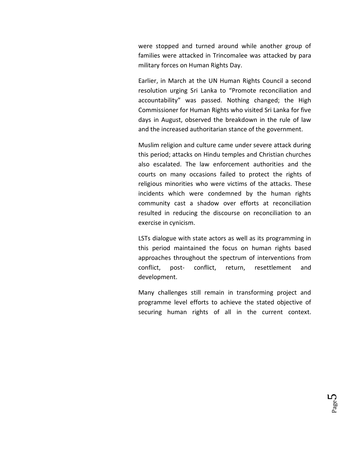were stopped and turned around while another group of families were attacked in Trincomalee was attacked by para military forces on Human Rights Day.

Earlier, in March at the UN Human Rights Council a second resolution urging Sri Lanka to "Promote reconciliation and accountability" was passed. Nothing changed; the High Commissioner for Human Rights who visited Sri Lanka for five days in August, observed the breakdown in the rule of law and the increased authoritarian stance of the government.

Muslim religion and culture came under severe attack during this period; attacks on Hindu temples and Christian churches also escalated. The law enforcement authorities and the courts on many occasions failed to protect the rights of religious minorities who were victims of the attacks. These incidents which were condemned by the human rights community cast a shadow over efforts at reconciliation resulted in reducing the discourse on reconciliation to an exercise in cynicism.

LSTs dialogue with state actors as well as its programming in this period maintained the focus on human rights based approaches throughout the spectrum of interventions from conflict, post- conflict, return, resettlement and development.

Many challenges still remain in transforming project and programme level efforts to achieve the stated objective of securing human rights of all in the current context.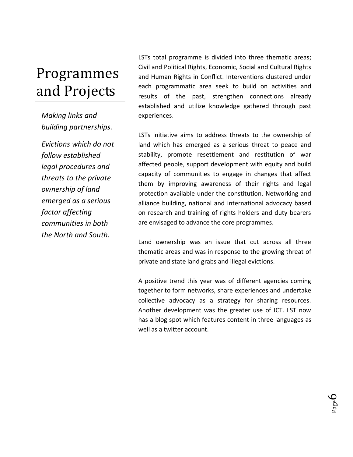# Programmes and Projects

*Making links and building partnerships.*

*Evictions which do not follow established legal procedures and threats to the private ownership of land emerged as a serious factor affecting communities in both the North and South.*

LSTs total programme is divided into three thematic areas; Civil and Political Rights, Economic, Social and Cultural Rights and Human Rights in Conflict. Interventions clustered under each programmatic area seek to build on activities and results of the past, strengthen connections already established and utilize knowledge gathered through past experiences.

LSTs initiative aims to address threats to the ownership of land which has emerged as a serious threat to peace and stability, promote resettlement and restitution of war affected people, support development with equity and build capacity of communities to engage in changes that affect them by improving awareness of their rights and legal protection available under the constitution. Networking and alliance building, national and international advocacy based on research and training of rights holders and duty bearers are envisaged to advance the core programmes.

Land ownership was an issue that cut across all three thematic areas and was in response to the growing threat of private and state land grabs and illegal evictions.

A positive trend this year was of different agencies coming together to form networks, share experiences and undertake collective advocacy as a strategy for sharing resources. Another development was the greater use of ICT. LST now has a blog spot which features content in three languages as well as a twitter account.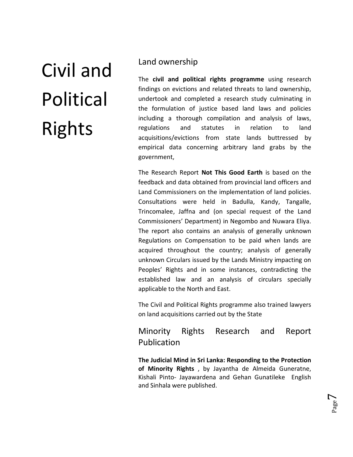# Civil and Political Rights

#### Land ownership

The **civil and political rights programme** using research findings on evictions and related threats to land ownership, undertook and completed a research study culminating in the formulation of justice based land laws and policies including a thorough compilation and analysis of laws, regulations and statutes in relation to land acquisitions/evictions from state lands buttressed by empirical data concerning arbitrary land grabs by the government,

The Research Report **Not This Good Earth** is based on the feedback and data obtained from provincial land officers and Land Commissioners on the implementation of land policies. Consultations were held in Badulla, Kandy, Tangalle, Trincomalee, Jaffna and (on special request of the Land Commissioners' Department) in Negombo and Nuwara Eliya. The report also contains an analysis of generally unknown Regulations on Compensation to be paid when lands are acquired throughout the country; analysis of generally unknown Circulars issued by the Lands Ministry impacting on Peoples' Rights and in some instances, contradicting the established law and an analysis of circulars specially applicable to the North and East.

The Civil and Political Rights programme also trained lawyers on land acquisitions carried out by the State

## Minority Rights Research and Report Publication

**The Judicial Mind in Sri Lanka: Responding to the Protection of Minority Rights** , by Jayantha de Almeida Guneratne, Kishali Pinto- Jayawardena and Gehan Gunatileke English and Sinhala were published.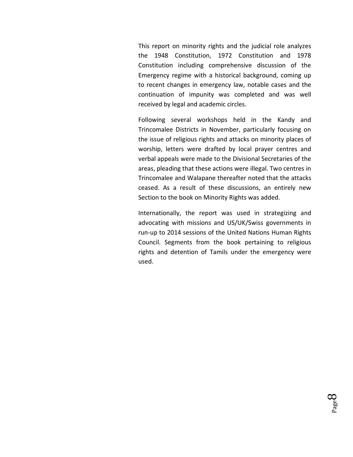This report on minority rights and the judicial role analyzes the 1948 Constitution, 1972 Constitution and 1978 Constitution including comprehensive discussion of the Emergency regime with a historical background, coming up to recent changes in emergency law, notable cases and the continuation of impunity was completed and was well received by legal and academic circles.

Following several workshops held in the Kandy and Trincomalee Districts in November, particularly focusing on the issue of religious rights and attacks on minority places of worship, letters were drafted by local prayer centres and verbal appeals were made to the Divisional Secretaries of the areas, pleading that these actions were illegal. Two centres in Trincomalee and Walapane thereafter noted that the attacks ceased. As a result of these discussions, an entirely new Section to the book on Minority Rights was added.

Internationally, the report was used in strategizing and advocating with missions and US/UK/Swiss governments in run-up to 2014 sessions of the United Nations Human Rights Council. Segments from the book pertaining to religious rights and detention of Tamils under the emergency were used.

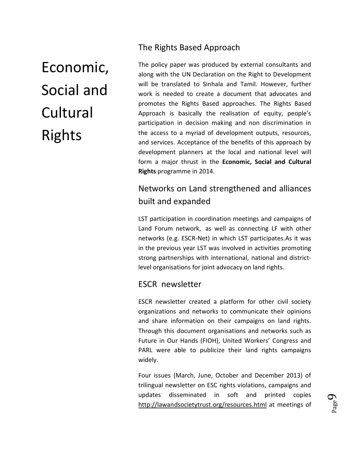Economic, Social and Cultural Rights

#### The Rights Based Approach

The policy paper was produced by external consultants and along with the UN Declaration on the Right to Development will be translated to Sinhala and Tamil. However, further work is needed to create a document that advocates and promotes the Rights Based approaches. The Rights Based Approach is basically the realisation of equity, people's participation in decision making and non discrimination in the access to a myriad of development outputs, resources, and services. Acceptance of the benefits of this approach by development planners at the local and national level will form a major thrust in the **Economic, Social and Cultural Rights** programme in 2014.

## Networks on Land strengthened and alliances built and expanded

LST participation in coordination meetings and campaigns of Land Forum network, as well as connecting LF with other networks (e.g. ESCR-Net) in which LST participates.As it was in the previous year LST was involved in activities promoting strong partnerships with international, national and districtlevel organisations for joint advocacy on land rights.

## ESCR newsletter

ESCR newsletter created a platform for other civil society organizations and networks to communicate their opinions and share information on their campaigns on land rights. Through this document organisations and networks such as Future in Our Hands (FIOH), United Workers' Congress and PARL were able to publicize their land rights campaigns widely.

Four issues (March, June, October and December 2013) of trilingual newsletter on ESC rights violations, campaigns and updates disseminated in soft and printed copies <http://lawandsocietytrust.org/resources.html> at meetings of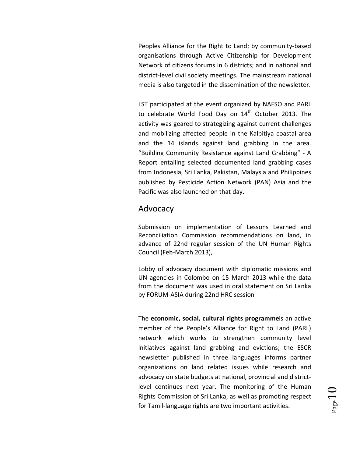Peoples Alliance for the Right to Land; by community-based organisations through Active Citizenship for Development Network of citizens forums in 6 districts; and in national and district-level civil society meetings. The mainstream national media is also targeted in the dissemination of the newsletter.

LST participated at the event organized by NAFSO and PARL to celebrate World Food Day on 14<sup>th</sup> October 2013. The activity was geared to strategizing against current challenges and mobilizing affected people in the Kalpitiya coastal area and the 14 islands against land grabbing in the area. "Building Community Resistance against Land Grabbing" - A Report entailing selected documented land grabbing cases from Indonesia, Sri Lanka, Pakistan, Malaysia and Philippines published by Pesticide Action Network (PAN) Asia and the Pacific was also launched on that day.

#### Advocacy

Submission on implementation of Lessons Learned and Reconciliation Commission recommendations on land, in advance of 22nd regular session of the UN Human Rights Council (Feb-March 2013),

Lobby of advocacy document with diplomatic missions and UN agencies in Colombo on 15 March 2013 while the data from the document was used in oral statement on Sri Lanka by FORUM-ASIA during 22nd HRC session

The **economic, social, cultural rights programme**is an active member of the People's Alliance for Right to Land (PARL) network which works to strengthen community level initiatives against land grabbing and evictions; the ESCR newsletter published in three languages informs partner organizations on land related issues while research and advocacy on state budgets at national, provincial and districtlevel continues next year. The monitoring of the Human Rights Commission of Sri Lanka, as well as promoting respect for Tamil-language rights are two important activities.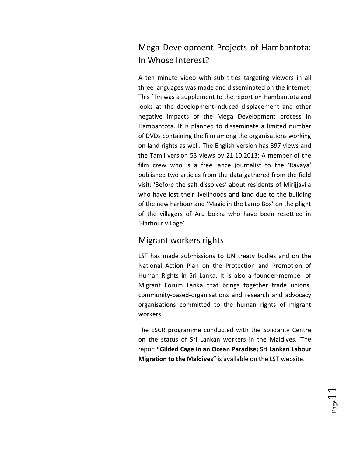# Mega Development Projects of Hambantota: In Whose Interest?

A ten minute video with sub titles targeting viewers in all three languages was made and disseminated on the internet. This film was a supplement to the report on Hambantota and looks at the development-induced displacement and other negative impacts of the Mega Development process in Hambantota. It is planned to disseminate a limited number of DVDs containing the film among the organisations working on land rights as well. The English version has 397 views and the Tamil version 53 views by 21.10.2013: A member of the film crew who is a free lance journalist to the 'Ravaya' published two articles from the data gathered from the field visit: 'Before the salt dissolves' about residents of Mirijjavila who have lost their livelihoods and land due to the building of the new harbour and 'Magic in the Lamb Box' on the plight of the villagers of Aru bokka who have been resettled in 'Harbour village'

## Migrant workers rights

LST has made submissions to UN treaty bodies and on the National Action Plan on the Protection and Promotion of Human Rights in Sri Lanka. It is also a founder-member of Migrant Forum Lanka that brings together trade unions, community-based-organisations and research and advocacy organisations committed to the human rights of migrant workers

The ESCR programme conducted with the Solidarity Centre on the status of Sri Lankan workers in the Maldives. The report **"Gilded Cage in an Ocean Paradise; Sri Lankan Labour Migration to the Maldives"** is available on the LST website.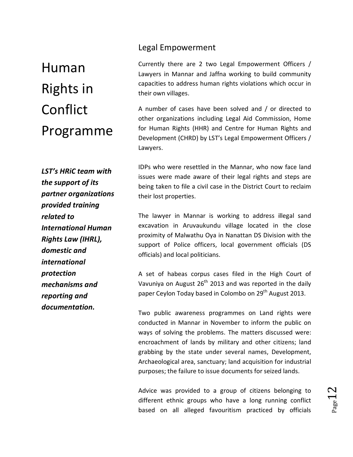# Human Rights in Conflict Programme

*LST's HRiC team with the support of its partner organizations provided training related to International Human Rights Law (IHRL), domestic and international protection mechanisms and reporting and documentation.*

#### Legal Empowerment

Currently there are 2 two Legal Empowerment Officers / Lawyers in Mannar and Jaffna working to build community capacities to address human rights violations which occur in their own villages.

A number of cases have been solved and / or directed to other organizations including Legal Aid Commission, Home for Human Rights (HHR) and Centre for Human Rights and Development (CHRD) by LST's Legal Empowerment Officers / Lawyers.

IDPs who were resettled in the Mannar, who now face land issues were made aware of their legal rights and steps are being taken to file a civil case in the District Court to reclaim their lost properties.

The lawyer in Mannar is working to address illegal sand excavation in Aruvaukundu village located in the close proximity of Malwathu Oya in Nanattan DS Division with the support of Police officers, local government officials (DS officials) and local politicians.

A set of habeas corpus cases filed in the High Court of Vavuniya on August  $26<sup>th</sup>$  2013 and was reported in the daily paper Ceylon Today based in Colombo on 29<sup>th</sup> August 2013.

Two public awareness programmes on Land rights were conducted in Mannar in November to inform the public on ways of solving the problems. The matters discussed were: encroachment of lands by military and other citizens; land grabbing by the state under several names, Development, Archaeological area, sanctuary; land acquisition for industrial purposes; the failure to issue documents for seized lands.

Advice was provided to a group of citizens belonging to different ethnic groups who have a long running conflict based on all alleged favouritism practiced by officials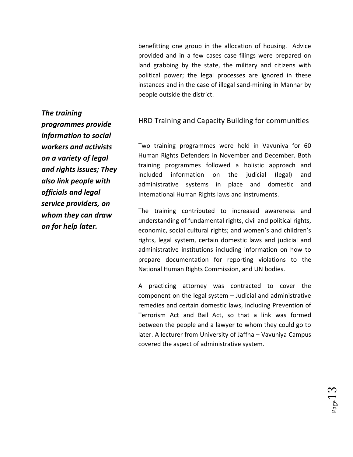benefitting one group in the allocation of housing. Advice provided and in a few cases case filings were prepared on land grabbing by the state, the military and citizens with political power; the legal processes are ignored in these instances and in the case of illegal sand-mining in Mannar by people outside the district.

HRD Training and Capacity Building for communities

Two training programmes were held in Vavuniya for 60 Human Rights Defenders in November and December. Both training programmes followed a holistic approach and included information on the judicial (legal) and administrative systems in place and domestic and International Human Rights laws and instruments.

The training contributed to increased awareness and understanding of fundamental rights, civil and political rights, economic, social cultural rights; and women's and children's rights, legal system, certain domestic laws and judicial and administrative institutions including information on how to prepare documentation for reporting violations to the National Human Rights Commission, and UN bodies.

A practicing attorney was contracted to cover the component on the legal system – Judicial and administrative remedies and certain domestic laws, including Prevention of Terrorism Act and Bail Act, so that a link was formed between the people and a lawyer to whom they could go to later. A lecturer from University of Jaffna – Vavuniya Campus covered the aspect of administrative system.

*The training programmes provide information to social workers and activists on a variety of legal and rights issues; They also link people with officials and legal service providers, on whom they can draw on for help later.*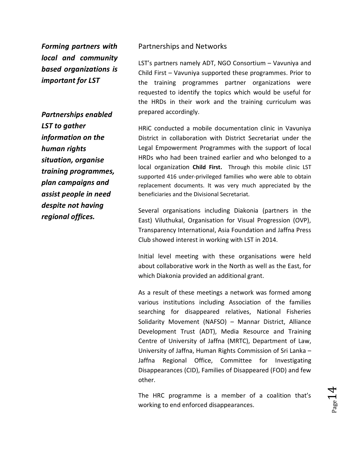*Forming partners with local and community based organizations is important for LST* 

*Partnerships enabled LST to gather information on the human rights situation, organise training programmes, plan campaigns and assist people in need despite not having regional offices.*

#### Partnerships and Networks

LST's partners namely ADT, NGO Consortium – Vavuniya and Child First – Vavuniya supported these programmes. Prior to the training programmes partner organizations were requested to identify the topics which would be useful for the HRDs in their work and the training curriculum was prepared accordingly.

HRiC conducted a mobile documentation clinic in Vavuniya District in collaboration with District Secretariat under the Legal Empowerment Programmes with the support of local HRDs who had been trained earlier and who belonged to a local organization **Child First.** Through this mobile clinic LST supported 416 under-privileged families who were able to obtain replacement documents. It was very much appreciated by the beneficiaries and the Divisional Secretariat.

Several organisations including Diakonia (partners in the East) Viluthukal, Organisation for Visual Progression (OVP), Transparency International, Asia Foundation and Jaffna Press Club showed interest in working with LST in 2014.

Initial level meeting with these organisations were held about collaborative work in the North as well as the East, for which Diakonia provided an additional grant.

As a result of these meetings a network was formed among various institutions including Association of the families searching for disappeared relatives, National Fisheries Solidarity Movement (NAFSO) – Mannar District, Alliance Development Trust (ADT), Media Resource and Training Centre of University of Jaffna (MRTC), Department of Law, University of Jaffna, Human Rights Commission of Sri Lanka – Jaffna Regional Office, Committee for Investigating Disappearances (CID), Families of Disappeared (FOD) and few other.

The HRC programme is a member of a coalition that's working to end enforced disappearances.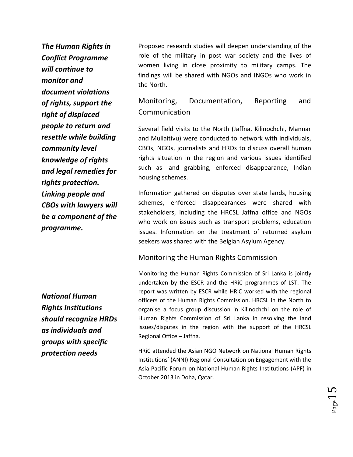*The Human Rights in Conflict Programme will continue to monitor and document violations of rights, support the right of displaced people to return and resettle while building community level knowledge of rights and legal remedies for rights protection. Linking people and CBOs with lawyers will be a component of the programme.* 

Proposed research studies will deepen understanding of the role of the military in post war society and the lives of women living in close proximity to military camps. The findings will be shared with NGOs and INGOs who work in the North.

## Monitoring, Documentation, Reporting and Communication

Several field visits to the North (Jaffna, Kilinochchi, Mannar and Mullaitivu) were conducted to network with individuals, CBOs, NGOs, journalists and HRDs to discuss overall human rights situation in the region and various issues identified such as land grabbing, enforced disappearance, Indian housing schemes.

Information gathered on disputes over state lands, housing schemes, enforced disappearances were shared with stakeholders, including the HRCSL Jaffna office and NGOs who work on issues such as transport problems, education issues. Information on the treatment of returned asylum seekers was shared with the Belgian Asylum Agency.

#### Monitoring the Human Rights Commission

Monitoring the Human Rights Commission of Sri Lanka is jointly undertaken by the ESCR and the HRiC programmes of LST. The report was written by ESCR while HRiC worked with the regional officers of the Human Rights Commission. HRCSL in the North to organise a focus group discussion in Kilinochchi on the role of Human Rights Commission of Sri Lanka in resolving the land issues/disputes in the region with the support of the HRCSL Regional Office – Jaffna.

HRiC attended the Asian NGO Network on National Human Rights Institutions' (ANNI) Regional Consultation on Engagement with the Asia Pacific Forum on National Human Rights Institutions (APF) in October 2013 in Doha, Qatar.

*National Human Rights Institutions should recognize HRDs as individuals and groups with specific protection needs*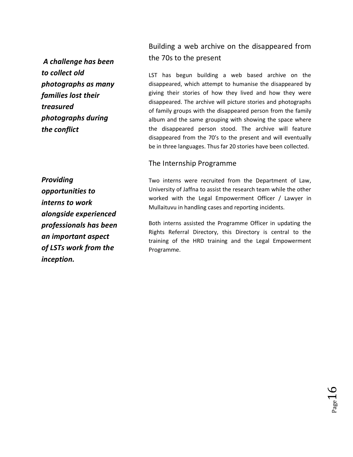*A challenge has been to collect old photographs as many families lost their treasured photographs during the conflict*

Building a web archive on the disappeared from the 70s to the present

LST has begun building a web based archive on the disappeared, which attempt to humanise the disappeared by giving their stories of how they lived and how they were disappeared. The archive will picture stories and photographs of family groups with the disappeared person from the family album and the same grouping with showing the space where the disappeared person stood. The archive will feature disappeared from the 70's to the present and will eventually be in three languages. Thus far 20 stories have been collected.

#### The Internship Programme

*Providing opportunities to interns to work alongside experienced professionals has been an important aspect of LSTs work from the inception.*

Two interns were recruited from the Department of Law, University of Jaffna to assist the research team while the other worked with the Legal Empowerment Officer / Lawyer in Mullaituvu in handling cases and reporting incidents.

Both interns assisted the Programme Officer in updating the Rights Referral Directory, this Directory is central to the training of the HRD training and the Legal Empowerment Programme.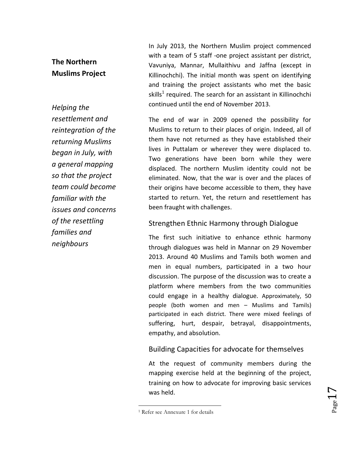## **The Northern Muslims Project**

## *Helping the resettlement and reintegration of the returning Muslims began in July, with a general mapping so that the project team could become familiar with the issues and concerns of the resettling families and neighbours*

In July 2013, the Northern Muslim project commenced with a team of 5 staff -one project assistant per district, Vavuniya, Mannar, Mullaithivu and Jaffna (except in Killinochchi). The initial month was spent on identifying and training the project assistants who met the basic skills<sup>1</sup> required. The search for an assistant in Killinochchi continued until the end of November 2013.

The end of war in 2009 opened the possibility for Muslims to return to their places of origin. Indeed, all of them have not returned as they have established their lives in Puttalam or wherever they were displaced to. Two generations have been born while they were displaced. The northern Muslim identity could not be eliminated. Now, that the war is over and the places of their origins have become accessible to them, they have started to return. Yet, the return and resettlement has been fraught with challenges.

#### Strengthen Ethnic Harmony through Dialogue

The first such initiative to enhance ethnic harmony through dialogues was held in Mannar on 29 November 2013. Around 40 Muslims and Tamils both women and men in equal numbers, participated in a two hour discussion. The purpose of the discussion was to create a platform where members from the two communities could engage in a healthy dialogue. Approximately, 50 people (both women and men – Muslims and Tamils) participated in each district. There were mixed feelings of suffering, hurt, despair, betrayal, disappointments, empathy, and absolution.

## Building Capacities for advocate for themselves

At the request of community members during the mapping exercise held at the beginning of the project, training on how to advocate for improving basic services was held.

 $\overline{\phantom{a}}$ 

 $_{\rm Page}17$ 

<sup>1</sup> Refer see Annexure 1 for details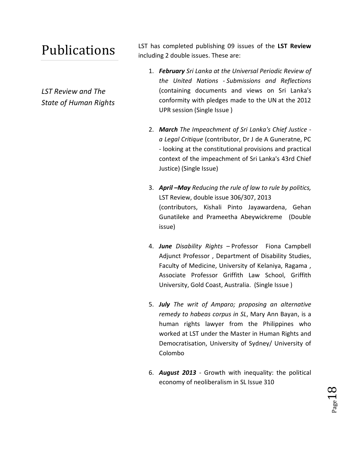# Publications

*LST Review and The State of Human Rights* LST has completed publishing 09 issues of the **LST Review** including 2 double issues. These are:

- 1. *February Sri Lanka at the Universal Periodic Review of the United Nations - Submissions and Reflections*  (containing documents and views on Sri Lanka's conformity with pledges made to the UN at the 2012 UPR session (Single Issue )
- 2. *March The Impeachment of Sri Lanka's Chief Justice a Legal Critique* (contributor, Dr J de A Guneratne, PC - looking at the constitutional provisions and practical context of the impeachment of Sri Lanka's 43rd Chief Justice) (Single Issue)
- 3. *April –May Reducing the rule of law to rule by politics,* LST Review, double issue 306/307, 2013 (contributors, Kishali Pinto Jayawardena, Gehan Gunatileke and Prameetha Abeywickreme (Double issue)
- 4. *June Disability Rights* Professor Fiona Campbell Adjunct Professor , Department of Disability Studies, Faculty of Medicine, University of Kelaniya, Ragama , Associate Professor Griffith Law School, Griffith University, Gold Coast, Australia. (Single Issue )
- 5. *July The writ of Amparo; proposing an alternative remedy to habeas corpus in SL*, Mary Ann Bayan, is a human rights lawyer from the Philippines who worked at LST under the Master in Human Rights and Democratisation, University of Sydney/ University of Colombo
- 6. *August 2013* Growth with inequality: the political economy of neoliberalism in SL Issue 310